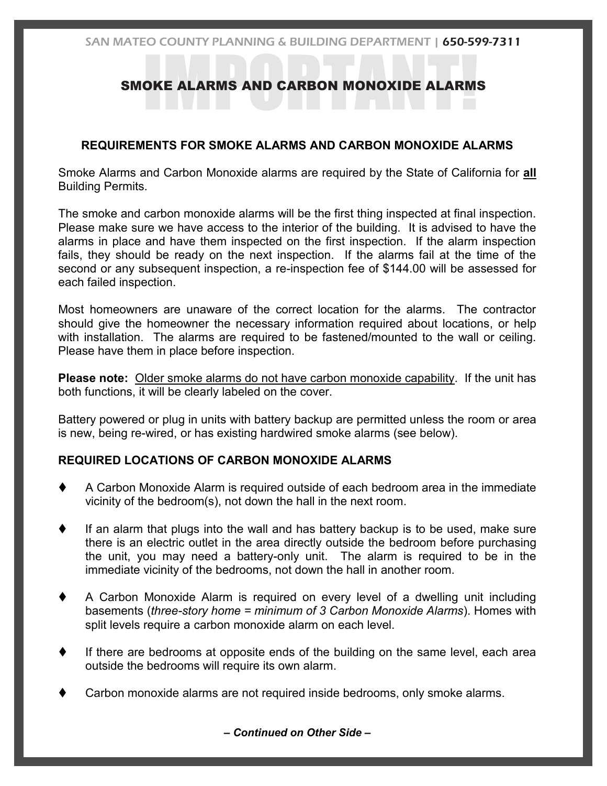# **SMOKE ALARMS AND CARBON MONOXIDE ALARMS**

# **REQUIREMENTS FOR SMOKE ALARMS AND CARBON MONOXIDE ALARMS**

Smoke Alarms and Carbon Monoxide alarms are required by the State of California for **all** Building Permits.

The smoke and carbon monoxide alarms will be the first thing inspected at final inspection. Please make sure we have access to the interior of the building. It is advised to have the alarms in place and have them inspected on the first inspection. If the alarm inspection fails, they should be ready on the next inspection. If the alarms fail at the time of the second or any subsequent inspection, a re-inspection fee of \$144.00 will be assessed for each failed inspection.

Most homeowners are unaware of the correct location for the alarms. The contractor should give the homeowner the necessary information required about locations, or help with installation. The alarms are required to be fastened/mounted to the wall or ceiling. Please have them in place before inspection.

**Please note:** Older smoke alarms do not have carbon monoxide capability. If the unit has both functions, it will be clearly labeled on the cover.

Battery powered or plug in units with battery backup are permitted unless the room or area is new, being re-wired, or has existing hardwired smoke alarms (see below).

# **REQUIRED LOCATIONS OF CARBON MONOXIDE ALARMS**

- A Carbon Monoxide Alarm is required outside of each bedroom area in the immediate vicinity of the bedroom(s), not down the hall in the next room.
- If an alarm that plugs into the wall and has battery backup is to be used, make sure there is an electric outlet in the area directly outside the bedroom before purchasing the unit, you may need a battery-only unit. The alarm is required to be in the immediate vicinity of the bedrooms, not down the hall in another room.
- A Carbon Monoxide Alarm is required on every level of a dwelling unit including basements (*three-story home = minimum of 3 Carbon Monoxide Alarms*). Homes with split levels require a carbon monoxide alarm on each level.
- If there are bedrooms at opposite ends of the building on the same level, each area outside the bedrooms will require its own alarm.
- Carbon monoxide alarms are not required inside bedrooms, only smoke alarms.

*– Continued on Other Side –*